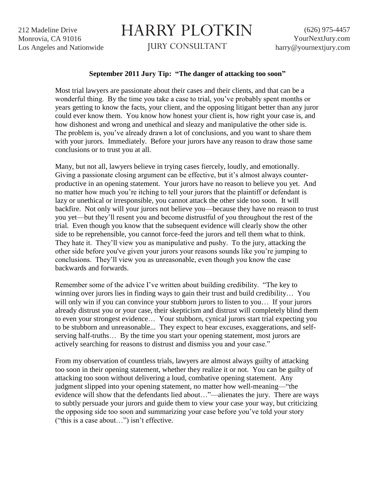212 Madeline Drive Monrovia, CA 91016 Los Angeles and Nationwide

## HARRY PLOTKIN

JURY CONSULTANT

## **September 2011 Jury Tip: "The danger of attacking too soon"**

Most trial lawyers are passionate about their cases and their clients, and that can be a wonderful thing. By the time you take a case to trial, you've probably spent months or years getting to know the facts, your client, and the opposing litigant better than any juror could ever know them. You know how honest your client is, how right your case is, and how dishonest and wrong and unethical and sleazy and manipulative the other side is. The problem is, you've already drawn a lot of conclusions, and you want to share them with your jurors. Immediately. Before your jurors have any reason to draw those same conclusions or to trust you at all.

Many, but not all, lawyers believe in trying cases fiercely, loudly, and emotionally. Giving a passionate closing argument can be effective, but it's almost always counterproductive in an opening statement. Your jurors have no reason to believe you yet. And no matter how much you're itching to tell your jurors that the plaintiff or defendant is lazy or unethical or irresponsible, you cannot attack the other side too soon. It will backfire. Not only will your jurors not believe you—because they have no reason to trust you yet—but they'll resent you and become distrustful of you throughout the rest of the trial. Even though you know that the subsequent evidence will clearly show the other side to be reprehensible, you cannot force-feed the jurors and tell them what to think. They hate it. They'll view you as manipulative and pushy. To the jury, attacking the other side before you've given your jurors your reasons sounds like you're jumping to conclusions. They'll view you as unreasonable, even though you know the case backwards and forwards.

Remember some of the advice I've written about building credibility. "The key to winning over jurors lies in finding ways to gain their trust and build credibility… You will only win if you can convince your stubborn jurors to listen to you... If your jurors already distrust you or your case, their skepticism and distrust will completely blind them to even your strongest evidence… Your stubborn, cynical jurors start trial expecting you to be stubborn and unreasonable... They expect to hear excuses, exaggerations, and selfserving half-truths… By the time you start your opening statement, most jurors are actively searching for reasons to distrust and dismiss you and your case."

From my observation of countless trials, lawyers are almost always guilty of attacking too soon in their opening statement, whether they realize it or not. You can be guilty of attacking too soon without delivering a loud, combative opening statement. Any judgment slipped into your opening statement, no matter how well-meaning—"the evidence will show that the defendants lied about…"—alienates the jury. There are ways to subtly persuade your jurors and guide them to view your case your way, but criticizing the opposing side too soon and summarizing your case before you've told your story ("this is a case about…") isn't effective.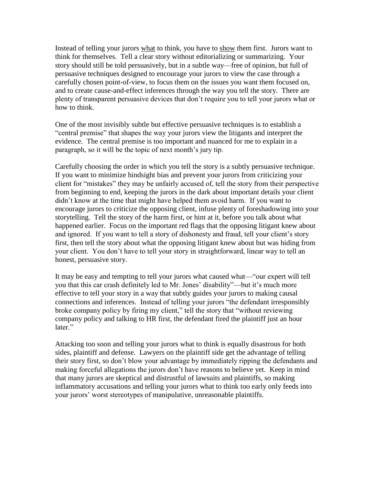Instead of telling your jurors what to think, you have to show them first. Jurors want to think for themselves. Tell a clear story without editorializing or summarizing. Your story should still be told persuasively, but in a subtle way—free of opinion, but full of persuasive techniques designed to encourage your jurors to view the case through a carefully chosen point-of-view, to focus them on the issues you want them focused on, and to create cause-and-effect inferences through the way you tell the story. There are plenty of transparent persuasive devices that don't require you to tell your jurors what or how to think.

One of the most invisibly subtle but effective persuasive techniques is to establish a "central premise" that shapes the way your jurors view the litigants and interpret the evidence. The central premise is too important and nuanced for me to explain in a paragraph, so it will be the topic of next month's jury tip.

Carefully choosing the order in which you tell the story is a subtly persuasive technique. If you want to minimize hindsight bias and prevent your jurors from criticizing your client for "mistakes" they may be unfairly accused of, tell the story from their perspective from beginning to end, keeping the jurors in the dark about important details your client didn't know at the time that might have helped them avoid harm. If you want to encourage jurors to criticize the opposing client, infuse plenty of foreshadowing into your storytelling. Tell the story of the harm first, or hint at it, before you talk about what happened earlier. Focus on the important red flags that the opposing litigant knew about and ignored. If you want to tell a story of dishonesty and fraud, tell your client's story first, then tell the story about what the opposing litigant knew about but was hiding from your client. You don't have to tell your story in straightforward, linear way to tell an honest, persuasive story.

It may be easy and tempting to tell your jurors what caused what—"our expert will tell you that this car crash definitely led to Mr. Jones' disability"—but it's much more effective to tell your story in a way that subtly guides your jurors to making causal connections and inferences. Instead of telling your jurors "the defendant irresponsibly broke company policy by firing my client," tell the story that "without reviewing company policy and talking to HR first, the defendant fired the plaintiff just an hour later."

Attacking too soon and telling your jurors what to think is equally disastrous for both sides, plaintiff and defense. Lawyers on the plaintiff side get the advantage of telling their story first, so don't blow your advantage by immediately ripping the defendants and making forceful allegations the jurors don't have reasons to believe yet. Keep in mind that many jurors are skeptical and distrustful of lawsuits and plaintiffs, so making inflammatory accusations and telling your jurors what to think too early only feeds into your jurors' worst stereotypes of manipulative, unreasonable plaintiffs.